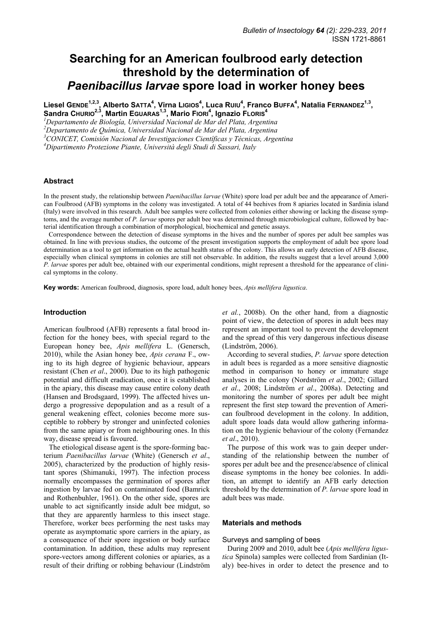# **Searching for an American foulbrood early detection threshold by the determination of**  *Paenibacillus larvae* **spore load in worker honey bees**

Liesel GENDE<sup>1,2,3</sup>, Alberto Satta<sup>4</sup>, Virna Ligios<sup>4</sup>, Luca Ruiu<sup>4</sup>, Franco BuFFA<sup>4</sup>, Natalia FERNANDEZ<sup>1,3</sup>, **Sandra CHURIO2,3, Martin EGUARAS1,3, Mario FIORI4 , Ignazio FLORIS<sup>4</sup>**

<sup>1</sup> Departamento de Biología, Universidad Nacional de Mar del Plata, Argentina

*2 Departamento de Química, Universidad Nacional de Mar del Plata, Argentina* 

*3 CONICET, Comisión Nacional de Investigaciones Científicas y Técnicas, Argentina* 

*4 Dipartimento Protezione Piante, Università degli Studi di Sassari, Italy* 

#### **Abstract**

In the present study, the relationship between *Paenibacillus larvae* (White) spore load per adult bee and the appearance of American Foulbrood (AFB) symptoms in the colony was investigated. A total of 44 beehives from 8 apiaries located in Sardinia island (Italy) were involved in this research. Adult bee samples were collected from colonies either showing or lacking the disease symptoms, and the average number of *P. larvae* spores per adult bee was determined through microbiological culture, followed by bacterial identification through a combination of morphological, biochemical and genetic assays.

Correspondence between the detection of disease symptoms in the hives and the number of spores per adult bee samples was obtained. In line with previous studies, the outcome of the present investigation supports the employment of adult bee spore load determination as a tool to get information on the actual health status of the colony. This allows an early detection of AFB disease, especially when clinical symptoms in colonies are still not observable. In addition, the results suggest that a level around 3,000 *P. larvae* spores per adult bee, obtained with our experimental conditions, might represent a threshold for the appearance of clinical symptoms in the colony.

**Key words:** American foulbrood, diagnosis, spore load, adult honey bees, *Apis mellifera ligustica*.

#### **Introduction**

American foulbrood (AFB) represents a fatal brood infection for the honey bees, with special regard to the European honey bee, *Apis mellifera* L. (Genersch, 2010), while the Asian honey bee, *Apis cerana* F., owing to its high degree of hygienic behaviour, appears resistant (Chen *et al*., 2000). Due to its high pathogenic potential and difficult eradication, once it is established in the apiary, this disease may cause entire colony death (Hansen and Brodsgaard, 1999). The affected hives undergo a progressive depopulation and as a result of a general weakening effect, colonies become more susceptible to robbery by stronger and uninfected colonies from the same apiary or from neighbouring ones. In this way, disease spread is favoured.

The etiological disease agent is the spore-forming bacterium *Paenibacillus larvae* (White) (Genersch *et al*., 2005), characterized by the production of highly resistant spores (Shimanuki, 1997). The infection process normally encompasses the germination of spores after ingestion by larvae fed on contaminated food (Bamrick and Rothenbuhler, 1961). On the other side, spores are unable to act significantly inside adult bee midgut, so that they are apparently harmless to this insect stage. Therefore, worker bees performing the nest tasks may operate as asymptomatic spore carriers in the apiary, as a consequence of their spore ingestion or body surface contamination. In addition, these adults may represent spore-vectors among different colonies or apiaries, as a result of their drifting or robbing behaviour (Lindström *et al.*, 2008b). On the other hand, from a diagnostic point of view, the detection of spores in adult bees may represent an important tool to prevent the development and the spread of this very dangerous infectious disease (Lindström, 2006).

According to several studies, *P. larvae* spore detection in adult bees is regarded as a more sensitive diagnostic method in comparison to honey or immature stage analyses in the colony (Nordström *et al*., 2002; Gillard *et al*., 2008; Lindström *et al*., 2008a). Detecting and monitoring the number of spores per adult bee might represent the first step toward the prevention of American foulbrood development in the colony. In addition, adult spore loads data would allow gathering information on the hygienic behaviour of the colony (Fernandez *et al*., 2010).

The purpose of this work was to gain deeper understanding of the relationship between the number of spores per adult bee and the presence/absence of clinical disease symptoms in the honey bee colonies. In addition, an attempt to identify an AFB early detection threshold by the determination of *P. larvae* spore load in adult bees was made.

#### **Materials and methods**

#### Surveys and sampling of bees

During 2009 and 2010, adult bee (*Apis mellifera ligustica* Spinola) samples were collected from Sardinian (Italy) bee-hives in order to detect the presence and to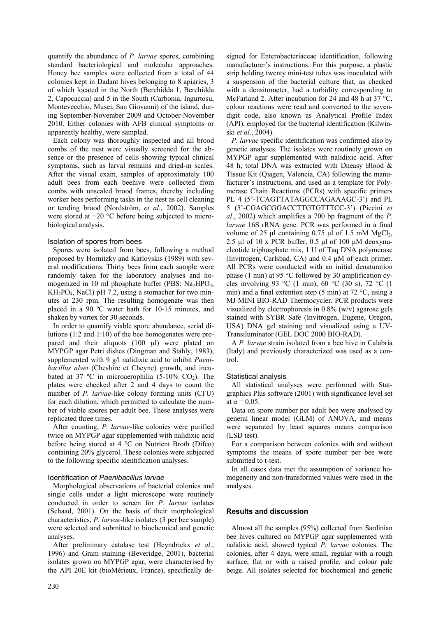quantify the abundance of *P. larvae* spores, combining standard bacteriological and molecular approaches. Honey bee samples were collected from a total of 44 colonies kept in Dadant hives belonging to 8 apiaries, 3 of which located in the North (Berchidda 1, Berchidda 2, Capocaccia) and 5 in the South (Carbonia, Ingurtosu, Montevecchio, Musei, San Giovanni) of the island, during September-November 2009 and October-November 2010. Either colonies with AFB clinical symptoms or apparently healthy, were sampled.

Each colony was thoroughly inspected and all brood combs of the nest were visually screened for the absence or the presence of cells showing typical clinical symptoms, such as larval remains and dried-in scales. After the visual exam, samples of approximately 100 adult bees from each beehive were collected from combs with unsealed brood frames, thereby including worker bees performing tasks in the nest as cell cleaning or tending brood (Nordström, *et al*., 2002). Samples were stored at −20 °C before being subjected to microbiological analysis.

## Isolation of spores from bees

Spores were isolated from bees, following a method proposed by Hornitzky and Karlovskis (1989) with several modifications. Thirty bees from each sample were randomly taken for the laboratory analyses and homogenized in 10 ml phosphate buffer (PBS:  $Na<sub>2</sub>HPO<sub>4</sub>$ ,  $KH<sub>2</sub>PO<sub>4</sub>$ , NaCl) pH 7.2, using a stomacher for two minutes at 230 rpm. The resulting homogenate was then placed in a 90 ºC water bath for 10-15 minutes, and shaken by vortex for 30 seconds.

In order to quantify viable spore abundance, serial dilutions (1:2 and 1:10) of the bee homogenates were prepared and their aliquots (100 µl) were plated on MYPGP agar Petri dishes (Dingman and Stahly, 1983), supplemented with 9 g/l nalidixic acid to inhibit *Paenibacillus alvei* (Cheshire et Cheyne) growth, and incubated at 37 °C in microaerophilia (5-10% CO<sub>2</sub>). The plates were checked after 2 and 4 days to count the number of *P. larvae*-like colony forming units (CFU) for each dilution, which permitted to calculate the number of viable spores per adult bee. These analyses were replicated three times.

After counting, *P. larvae*-like colonies were purified twice on MYPGP agar supplemented with nalidixic acid before being stored at 4 °C on Nutrient Broth (Difco) containing 20% glycerol. These colonies were subjected to the following specific identification analyses.

## Identification of *Paenibacillus larvae*

Morphological observations of bacterial colonies and single cells under a light microscope were routinely conducted in order to screen for *P. larvae* isolates (Schaad, 2001). On the basis of their morphological characteristics, *P. larvae*-like isolates (3 per bee sample) were selected and submitted to biochemical and genetic analyses.

After preliminary catalase test (Heyndrickx *et al*., 1996) and Gram staining (Beveridge, 2001), bacterial isolates grown on MYPGP agar, were characterised by the API 20E kit (bioMérieux, France), specifically designed for Enterobacteriaceae identification, following manufacturer's instructions. For this purpose, a plastic strip holding twenty mini-test tubes was inoculated with a suspension of the bacterial culture that, as checked with a densitometer, had a turbidity corresponding to McFarland 2. After incubation for 24 and 48 h at 37 °C, colour reactions were read and converted to the sevendigit code, also known as Analytical Profile Index (API), employed for the bacterial identification (Kilwinski *et al*., 2004).

*P. larvae* specific identification was confirmed also by genetic analyses. The isolates were routinely grown on MYPGP agar supplemented with nalidixic acid. After 48 h, total DNA was extracted with Dneasy Blood & Tissue Kit (Qiagen, Valencia, CA) following the manufacturer's instructions, and used as a template for Polymerase Chain Reactions (PCRs) with specific primers PL 4 (5'-TCAGTTATAGGCCAGAAAGC-3') and PL 5 (5'-CGAGCGGACCTTGTGTTTCC-3') (Piccini *et al*., 2002) which amplifies a 700 bp fragment of the *P. larvae* 16S rRNA gene. PCR was performed in a final volume of 25  $\mu$ l containing 0.75  $\mu$ l of 1.5 mM MgCl<sub>2</sub>, 2.5 µl of 10 x PCR buffer,  $0.5$  µl of 100 µM deoxynucleotide triphosphate mix, 1 U of Taq DNA polymerase (Invitrogen, Carlsbad, CA) and 0.4 µM of each primer. All PCRs were conducted with an initial denaturation phase (1 min) at 95 °C followed by 30 amplification cycles involving 93 °C (1 min), 60 °C (30 s), 72 °C (1 min) and a final extention step (5 min) at 72 °C, using a MJ MINI BIO-RAD Thermocycler. PCR products were visualized by electrophoresis in 0.8% (w/v) agarose gels stained with SYBR Safe (Invitrogen, Eugene, Oregon, USA) DNA gel staining and visualized using a UV-Transiluminator (GEL DOC 2000 BIO-RAD).

A *P. larvae* strain isolated from a bee hive in Calabria (Italy) and previously characterized was used as a control.

## Statistical analysis

All statistical analyses were performed with Statgraphics Plus software (2001) with significance level set at  $\alpha$  = 0.05.

Data on spore number per adult bee were analysed by general linear model (GLM) of ANOVA, and means were separated by least squares means comparison (LSD test).

For a comparison between colonies with and without symptoms the means of spore number per bee were submitted to t-test.

In all cases data met the assumption of variance homogeneity and non-transformed values were used in the analyses.

## **Results and discussion**

Almost all the samples (95%) collected from Sardinian bee hives cultured on MYPGP agar supplemented with nalidixic acid, showed typical *P. larvae* colonies. The colonies, after 4 days, were small, regular with a rough surface, flat or with a raised profile, and colour pale beige. All isolates selected for biochemical and genetic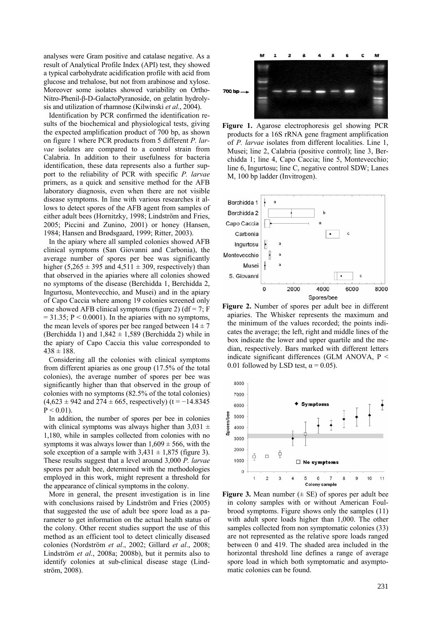analyses were Gram positive and catalase negative. As a result of Analytical Profile Index (API) test, they showed a typical carbohydrate acidification profile with acid from glucose and trehalose, but not from arabinose and xylose. Moreover some isolates showed variability on Ortho-Nitro-Phenil-β-D-GalactoPyranoside, on gelatin hydrolysis and utilization of rhamnose (Kilwinski *et al*., 2004).

Identification by PCR confirmed the identification results of the biochemical and physiological tests, giving the expected amplification product of 700 bp, as shown on figure 1 where PCR products from 5 different *P. larvae* isolates are compared to a control strain from Calabria. In addition to their usefulness for bacteria identification, these data represents also a further support to the reliability of PCR with specific *P. larvae* primers, as a quick and sensitive method for the AFB laboratory diagnosis, even when there are not visible disease symptoms. In line with various researches it allows to detect spores of the AFB agent from samples of either adult bees (Hornitzky, 1998; Lindström and Fries, 2005; Piccini and Zunino, 2001) or honey (Hansen, 1984; Hansen and Brødsgaard, 1999; Ritter, 2003).

In the apiary where all sampled colonies showed AFB clinical symptoms (San Giovanni and Carbonia), the average number of spores per bee was significantly higher (5,265  $\pm$  395 and 4,511  $\pm$  309, respectively) than that observed in the apiaries where all colonies showed no symptoms of the disease (Berchidda 1, Berchidda 2, Ingurtosu, Montevecchio, and Musei) and in the apiary of Capo Caccia where among 19 colonies screened only one showed AFB clinical symptoms (figure 2) (df = 7; F  $= 31.35$ ; P < 0.0001). In the apiaries with no symptoms, the mean levels of spores per bee ranged between  $14 \pm 7$ (Berchidda 1) and  $1,842 \pm 1,589$  (Berchidda 2) while in the apiary of Capo Caccia this value corresponded to  $438 \pm 188$ .

Considering all the colonies with clinical symptoms from different apiaries as one group (17.5% of the total colonies), the average number of spores per bee was significantly higher than that observed in the group of colonies with no symptoms (82.5% of the total colonies)  $(4,623 \pm 942 \text{ and } 274 \pm 665,$  respectively) (t = -14.8345  $P < 0.01$ ).

In addition, the number of spores per bee in colonies with clinical symptoms was always higher than  $3,031 \pm$ 1,180, while in samples collected from colonies with no symptoms it was always lower than  $1,609 \pm 566$ , with the sole exception of a sample with  $3,431 \pm 1,875$  (figure 3). These results suggest that a level around 3,000 *P. larvae* spores per adult bee, determined with the methodologies employed in this work, might represent a threshold for the appearance of clinical symptoms in the colony.

More in general, the present investigation is in line with conclusions raised by Lindström and Fries (2005) that suggested the use of adult bee spore load as a parameter to get information on the actual health status of the colony. Other recent studies support the use of this method as an efficient tool to detect clinically diseased colonies (Nordström *et al*., 2002; Gillard *et al*., 2008; Lindström *et al*., 2008a; 2008b), but it permits also to identify colonies at sub-clinical disease stage (Lindström, 2008).



**Figure 1.** Agarose electrophoresis gel showing PCR products for a 16S rRNA gene fragment amplification of *P. larvae* isolates from different localities. Line 1, Musei; line 2, Calabria (positive control); line 3, Berchidda 1; line 4, Capo Caccia; line 5, Montevecchio; line 6, Ingurtosu; line C, negative control SDW; Lanes M, 100 bp ladder (Invitrogen).



**Figure 2.** Number of spores per adult bee in different apiaries. The Whisker represents the maximum and the minimum of the values recorded; the points indicates the average; the left, right and middle lines of the box indicate the lower and upper quartile and the median, respectively. Bars marked with different letters indicate significant differences (GLM ANOVA,  $P \le$ 0.01 followed by LSD test,  $\alpha = 0.05$ ).



**Figure 3.** Mean number  $(\pm \text{ SE})$  of spores per adult bee in colony samples with or without American Foulbrood symptoms. Figure shows only the samples (11) with adult spore loads higher than 1,000. The other samples collected from non symptomatic colonies (33) are not represented as the relative spore loads ranged between 0 and 419. The shaded area included in the horizontal threshold line defines a range of average spore load in which both symptomatic and asymptomatic colonies can be found.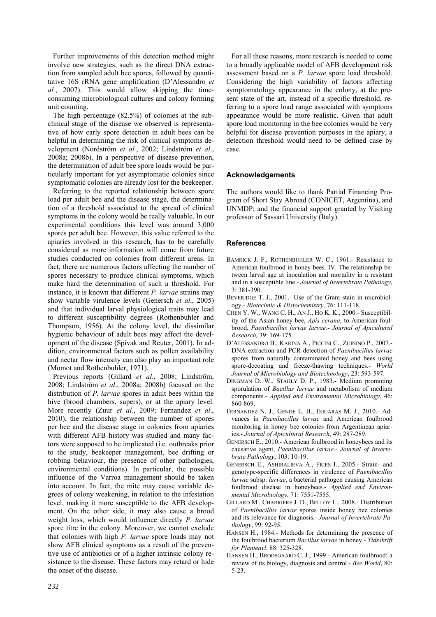Further improvements of this detection method might involve new strategies, such as the direct DNA extraction from sampled adult bee spores, followed by quantitative 16S rRNA gene amplification (D'Alessandro *et al.*, 2007). This would allow skipping the timeconsuming microbiological cultures and colony forming unit counting.

The high percentage (82.5%) of colonies at the subclinical stage of the disease we observed is representative of how early spore detection in adult bees can be helpful in determining the risk of clinical symptoms development (Nordström *et al.*, 2002; Lindström *et al*., 2008a; 2008b). In a perspective of disease prevention, the determination of adult bee spore loads would be particularly important for yet asymptomatic colonies since symptomatic colonies are already lost for the beekeeper.

Referring to the reported relationship between spore load per adult bee and the disease stage, the determination of a threshold associated to the spread of clinical symptoms in the colony would be really valuable. In our experimental conditions this level was around 3,000 spores per adult bee. However, this value referred to the apiaries involved in this research, has to be carefully considered as more information will come from future studies conducted on colonies from different areas. In fact, there are numerous factors affecting the number of spores necessary to produce clinical symptoms, which make hard the determination of such a threshold. For instance, it is known that different *P. larvae* strains may show variable virulence levels (Genersch *et al*., 2005) and that individual larval physiological traits may lead to different susceptibility degrees (Rothenbuhler and Thompson, 1956). At the colony level, the dissimilar hygienic behaviour of adult bees may affect the development of the disease (Spivak and Reuter, 2001). In addition, environmental factors such as pollen availability and nectar flow intensity can also play an important role (Momot and Rothenbuhler, 1971).

Previous reports (Gillard *et al*., 2008; Lindström, 2008; Lindström *et al*., 2008a; 2008b) focused on the distribution of *P. larvae* spores in adult bees within the hive (brood chambers, supers), or at the apiary level. More recently (Zuur *et al.*, 2009; Fernandez *et al*., 2010), the relationship between the number of spores per bee and the disease stage in colonies from apiaries with different AFB history was studied and many factors were supposed to be implicated (i.e. outbreaks prior to the study, beekeeper management, bee drifting or robbing behaviour, the presence of other pathologies, environmental conditions). In particular, the possible influence of the Varroa management should be taken into account. In fact, the mite may cause variable degrees of colony weakening, in relation to the infestation level, making it more susceptible to the AFB development. On the other side, it may also cause a brood weight loss, which would influence directly *P. larvae* spore titre in the colony. Moreover, we cannot exclude that colonies with high *P. larvae* spore loads may not show AFB clinical symptoms as a result of the preventive use of antibiotics or of a higher intrinsic colony resistance to the disease. These factors may retard or hide the onset of the disease.

For all these reasons, more research is needed to come to a broadly applicable model of AFB development risk assessment based on a *P. larvae* spore load threshold. Considering the high variability of factors affecting symptomatology appearance in the colony, at the present state of the art, instead of a specific threshold, referring to a spore load range associated with symptoms appearance would be more realistic. Given that adult spore load monitoring in the bee colonies would be very helpful for disease prevention purposes in the apiary, a detection threshold would need to be defined case by case.

## **Acknowledgements**

The authors would like to thank Partial Financing Program of Short Stay Abroad (CONICET, Argentina), and UNMDP; and the financial support granted by Visiting professor of Sassari University (Italy).

## **References**

- BAMRICK J. F., ROTHENBUHLER W. C., 1961.- Resistance to American foulbrood in honey bees. IV. The relationship between larval age at inoculation and mortality in a resistant and in a susceptible line.- *Journal of Invertebrate Pathology*, 3: 381-390.
- BEVERIDGE T. J., 2001.- Use of the Gram stain in microbiology.- *Biotechnic & Histochemistry*, 76: 111-118.
- CHEN Y. W., WANG C. H., AN J., HO K. K., 2000.- Susceptibility of the Asian honey bee, *Apis cerana*, to American foulbrood, *Paenibacillus larvae larvae*.- *Journal of Apicultural Research,* 39: 169-175.
- D'ALESSANDRO B., KARINA A., PICCINI C., ZUININO P., 2007.- DNA extraction and PCR detection of *Paenibacillus larvae* spores from naturally contaminated honey and bees using spore-decoating and freeze-thawing techniques.- *World Journal of Microbiology and Biotechnology*, 23: 593-597.
- DINGMAN D. W., STAHLY D. P., 1983.- Medium promoting sporulation of *Bacillus larvae* and metabolism of medium components.- *Applied and Enviromental Microbiology*, 46: 860-869.
- FERNÁNDEZ N. J., GENDE L. B., EGUARAS M. J., 2010.- Advances in *Paenibacillus larvae* and American foulbrood monitoring in honey bee colonies from Argentinean apiaries.- *Journal of Apicultural Research*, 49: 287-289.
- GENERSCH E., 2010.- American foulbrood in honeybees and its causative agent, *Paenibacillus larvae*.- *Journal of Invertebrate Pathology*, 103: 10-19.
- GENERSCH E., ASHIRALIEVA A., FRIES I., 2005.- Strain- and genotype-specific differences in virulence of *Paenibacillus larvae* subsp. *larvae*, a bacterial pathogen causing American foulbrood disease in honeybees.- *Applied end Environmental Microbiology*, 71: 7551-7555.
- GILLARD M., CHARRIERE J. D., BELLOY L., 2008.- Distribution of *Paenibacillus larvae* spores inside honey bee colonies and its relevance for diagnosis.- *Journal of Invertebrate Pathology*, 99: 92-95.
- HANSEN H., 1984.- Methods for determining the presence of the foulbrood bacterium *Bacillus larvae* in honey.- *Tidsskrift for Planteavl*, 88: 325-328.
- HANSEN H., BRODSGAARD C. J., 1999.- American foulbrood: a review of its biology, diagnosis and control.- *Bee World*, 80: 5-23.